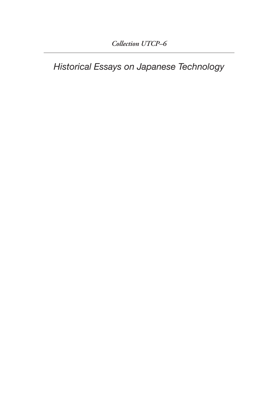*Historical Essays on Japanese Technology*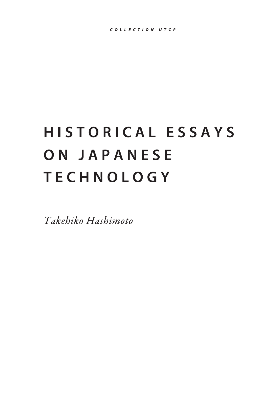## HISTORICAL ESSAYS ON JAPANESE **TECHNOLOGY**

Takehiko Hashimoto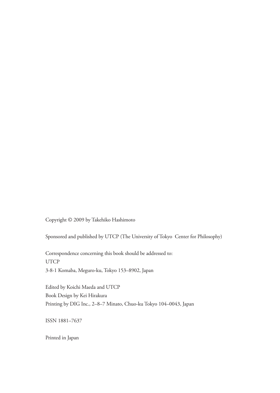Copyright © 2009 by Takehiko Hashimoto

Sponsored and published by UTCP (The University of Tokyo Center for Philosophy)

Correspondence concerning this book should be addressed to: UTCP 3-8-1 Komaba, Meguro-ku, Tokyo 153–8902, Japan

Edited by Koichi Maeda and UTCP Book Design by Kei Hirakura Printing by DIG Inc., 2–8–7 Minato, Chuo-ku Tokyo 104–0043, Japan

ISSN 1881–7637

Printed in Japan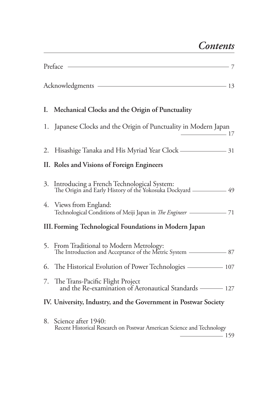|    | Preface<br>- 7                                                                                           |
|----|----------------------------------------------------------------------------------------------------------|
|    | Acknowledgments - 13                                                                                     |
| Ι. | Mechanical Clocks and the Origin of Punctuality                                                          |
| 1. | Japanese Clocks and the Origin of Punctuality in Modern Japan<br>$\frac{17}{2}$                          |
| 2. | Hisashige Tanaka and His Myriad Year Clock - 31                                                          |
|    | II. Roles and Visions of Foreign Engineers                                                               |
| 3. | Introducing a French Technological System:<br>The Origin and Early History of the Yokosuka Dockyard - 49 |
|    | 4. Views from England:<br>Technological Conditions of Meiji Japan in The Engineer - 71                   |
|    | III. Forming Technological Foundations in Modern Japan                                                   |
| 5. | From Traditional to Modern Metrology:                                                                    |
| 6. | The Historical Evolution of Power Technologies ———————————————————— 107                                  |
| 7. | The Trans-Pacific Flight Project<br>and the Re-examination of Aeronautical Standards - 127               |
|    | IV. University, Industry, and the Government in Postwar Society                                          |
| 8. | Science after 1940:<br>Recent Historical Research on Postwar American Science and Technology             |

159